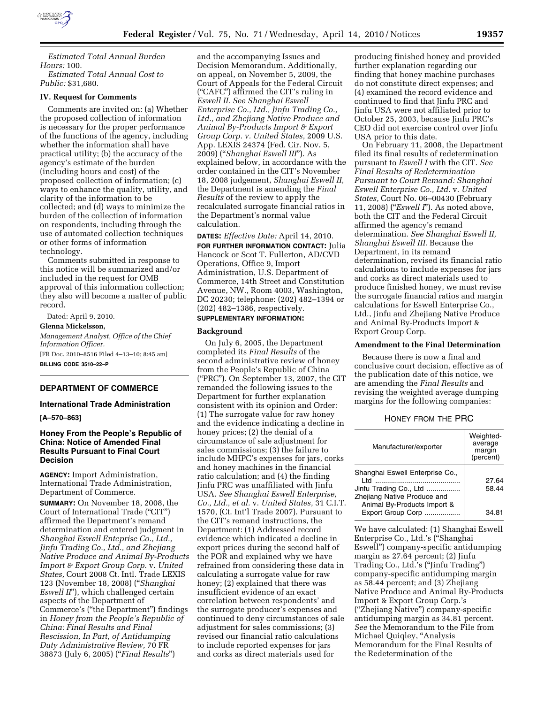

*Estimated Total Annual Burden Hours:* 100.

*Estimated Total Annual Cost to Public:* \$31,680.

### **IV. Request for Comments**

Comments are invited on: (a) Whether the proposed collection of information is necessary for the proper performance of the functions of the agency, including whether the information shall have practical utility; (b) the accuracy of the agency's estimate of the burden (including hours and cost) of the proposed collection of information; (c) ways to enhance the quality, utility, and clarity of the information to be collected; and (d) ways to minimize the burden of the collection of information on respondents, including through the use of automated collection techniques or other forms of information technology.

Comments submitted in response to this notice will be summarized and/or included in the request for OMB approval of this information collection; they also will become a matter of public record.

Dated: April 9, 2010. **Glenna Mickelsson,**  *Management Analyst, Office of the Chief Information Officer.*  [FR Doc. 2010–8516 Filed 4–13–10; 8:45 am]

**BILLING CODE 3510–22–P** 

### **DEPARTMENT OF COMMERCE**

### **International Trade Administration**

#### **[A–570–863]**

# **Honey From the People's Republic of China: Notice of Amended Final Results Pursuant to Final Court Decision**

**AGENCY:** Import Administration, International Trade Administration, Department of Commerce.

**SUMMARY:** On November 18, 2008, the Court of International Trade (''CIT'') affirmed the Department's remand determination and entered judgment in *Shanghai Eswell Enteprise Co., Ltd., Jinfu Trading Co., Ltd., and Zhejiang Native Produce and Animal By-Products Import & Export Group Corp.* v. *United States,* Court 2008 Ct. Intl. Trade LEXIS 123 (November 18, 2008) (''*Shanghai Eswell II*''), which challenged certain aspects of the Department of Commerce's (''the Department'') findings in *Honey from the People's Republic of China: Final Results and Final Rescission, In Part, of Antidumping Duty Administrative Review,* 70 FR 38873 (July 6, 2005) (''*Final Results*'')

and the accompanying Issues and Decision Memorandum. Additionally, on appeal, on November 5, 2009, the Court of Appeals for the Federal Circuit (''CAFC'') affirmed the CIT's ruling in *Eswell II. See Shanghai Eswell Enterprise Co., Ltd., Jinfu Trading Co., Ltd., and Zhejiang Native Produce and Animal By-Products Import & Export Group Corp. v. United States,* 2009 U.S. App. LEXIS 24374 (Fed. Cir. Nov. 5, 2009) (''*Shanghai Eswell III*''). As explained below, in accordance with the order contained in the CIT's November 18, 2008 judgement, *Shanghai Eswell II,*  the Department is amending the *Final Results* of the review to apply the recalculated surrogate financial ratios in the Department's normal value calculation.

**DATES:** *Effective Date:* April 14, 2010. **FOR FURTHER INFORMATION CONTACT:** Julia Hancock or Scot T. Fullerton, AD/CVD Operations, Office 9, Import Administration, U.S. Department of Commerce, 14th Street and Constitution Avenue, NW., Room 4003, Washington, DC 20230; telephone: (202) 482–1394 or (202) 482–1386, respectively.

# **SUPPLEMENTARY INFORMATION:**

### **Background**

On July 6, 2005, the Department completed its *Final Results* of the second administrative review of honey from the People's Republic of China (''PRC''). On September 13, 2007, the CIT remanded the following issues to the Department for further explanation consistent with its opinion and Order: (1) The surrogate value for raw honey and the evidence indicating a decline in honey prices; (2) the denial of a circumstance of sale adjustment for sales commissions; (3) the failure to include MHPC's expenses for jars, corks and honey machines in the financial ratio calculation; and (4) the finding Jinfu PRC was unaffiliated with Jinfu USA. *See Shanghai Eswell Enterprise, Co., Ltd., et al.* v. *United States,* 31 C.I.T. 1570, (Ct. Int'l Trade 2007). Pursuant to the CIT's remand instructions, the Department: (1) Addressed record evidence which indicated a decline in export prices during the second half of the POR and explained why we have refrained from considering these data in calculating a surrogate value for raw honey; (2) explained that there was insufficient evidence of an exact correlation between respondents' and the surrogate producer's expenses and continued to deny circumstances of sale adjustment for sales commissions; (3) revised our financial ratio calculations to include reported expenses for jars and corks as direct materials used for

producing finished honey and provided further explanation regarding our finding that honey machine purchases do not constitute direct expenses; and (4) examined the record evidence and continued to find that Jinfu PRC and Jinfu USA were not affiliated prior to October 25, 2003, because Jinfu PRC's CEO did not exercise control over Jinfu USA prior to this date.

On February 11, 2008, the Department filed its final results of redetermination pursuant to *Eswell I* with the CIT. *See Final Results of Redetermination Pursuant to Court Remand: Shanghai Eswell Enterprise Co., Ltd.* v. *United States,* Court No. 06–00430 (February 11, 2008) (''*Eswell I*''). As noted above, both the CIT and the Federal Circuit affirmed the agency's remand determination. *See Shanghai Eswell II, Shanghai Eswell III.* Because the Department, in its remand determination, revised its financial ratio calculations to include expenses for jars and corks as direct materials used to produce finished honey, we must revise the surrogate financial ratios and margin calculations for Eswell Enterprise Co., Ltd., Jinfu and Zhejiang Native Produce and Animal By-Products Import & Export Group Corp.

#### **Amendment to the Final Determination**

Because there is now a final and conclusive court decision, effective as of the publication date of this notice, we are amending the *Final Results* and revising the weighted average dumping margins for the following companies:

HONEY FROM THE PRC

| Manufacturer/exporter                                                                                                           | Weighted-<br>average<br>margin<br>(percent) |
|---------------------------------------------------------------------------------------------------------------------------------|---------------------------------------------|
| Shanghai Eswell Enterprise Co.,<br>ht I<br>Jinfu Trading Co., Ltd<br>Zhejiang Native Produce and<br>Animal By-Products Import & | 27.64<br>58.44                              |
| Export Group Corp                                                                                                               | 34 81                                       |

We have calculated: (1) Shanghai Eswell Enterprise Co., Ltd.'s (''Shanghai Eswell'') company-specific antidumping margin as 27.64 percent; (2) Jinfu Trading Co., Ltd.'s (''Jinfu Trading'') company-specific antidumping margin as 58.44 percent; and (3) Zhejiang Native Produce and Animal By-Products Import & Export Group Corp.'s (''Zhejiang Native'') company-specific antidumping margin as 34.81 percent. *See* the Memorandum to the File from Michael Quiqley, ''Analysis Memorandum for the Final Results of the Redetermination of the